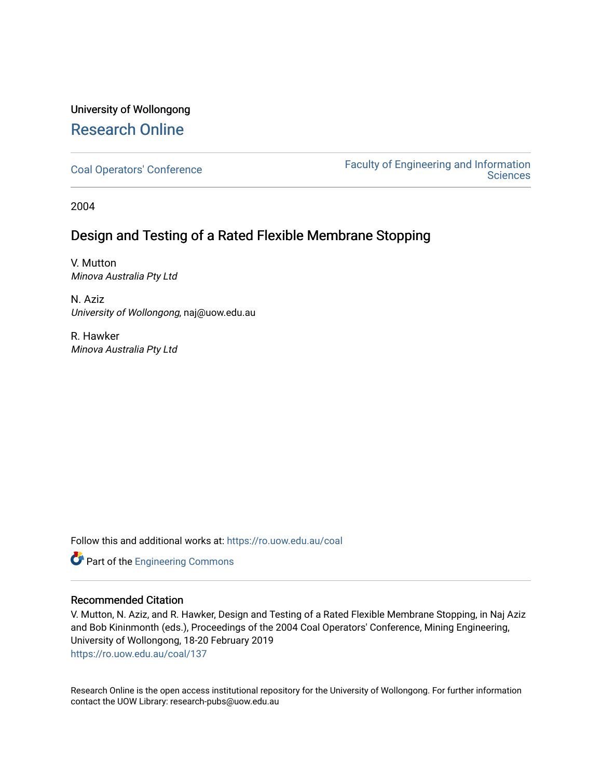## University of Wollongong [Research Online](https://ro.uow.edu.au/)

[Coal Operators' Conference](https://ro.uow.edu.au/coal) [Faculty of Engineering and Information](https://ro.uow.edu.au/eis)  **Sciences** 

2004

## Design and Testing of a Rated Flexible Membrane Stopping

V. Mutton Minova Australia Pty Ltd

N. Aziz University of Wollongong, naj@uow.edu.au

R. Hawker Minova Australia Pty Ltd

Follow this and additional works at: [https://ro.uow.edu.au/coal](https://ro.uow.edu.au/coal?utm_source=ro.uow.edu.au%2Fcoal%2F137&utm_medium=PDF&utm_campaign=PDFCoverPages) 

Part of the [Engineering Commons](http://network.bepress.com/hgg/discipline/217?utm_source=ro.uow.edu.au%2Fcoal%2F137&utm_medium=PDF&utm_campaign=PDFCoverPages)

## Recommended Citation

V. Mutton, N. Aziz, and R. Hawker, Design and Testing of a Rated Flexible Membrane Stopping, in Naj Aziz and Bob Kininmonth (eds.), Proceedings of the 2004 Coal Operators' Conference, Mining Engineering, University of Wollongong, 18-20 February 2019 [https://ro.uow.edu.au/coal/137](https://ro.uow.edu.au/coal/137?utm_source=ro.uow.edu.au%2Fcoal%2F137&utm_medium=PDF&utm_campaign=PDFCoverPages) 

Research Online is the open access institutional repository for the University of Wollongong. For further information contact the UOW Library: research-pubs@uow.edu.au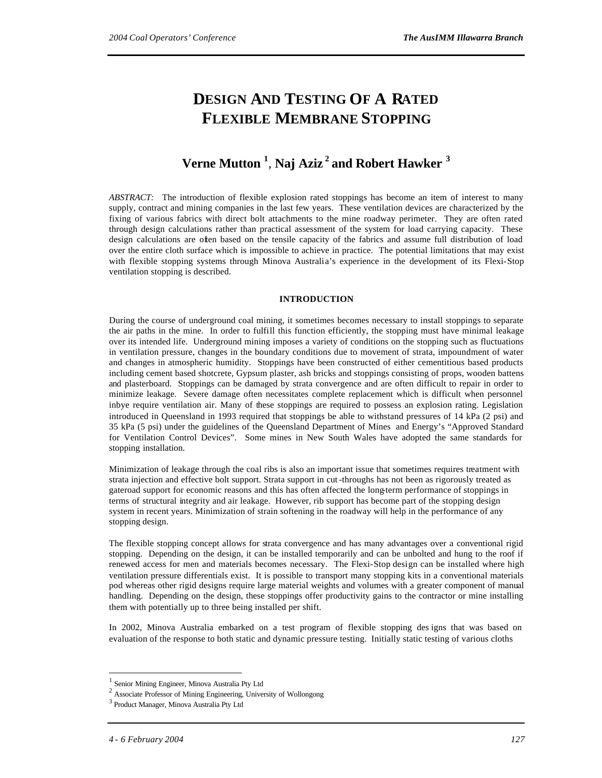# **DESIGN AND TESTING OF A RATED FLEXIBLE MEMBRANE STOPPING**

## **Verne Mutton <sup>1</sup>** , **Naj Aziz <sup>2</sup> and Robert Hawker <sup>3</sup>**

*ABSTRACT:* The introduction of flexible explosion rated stoppings has become an item of interest to many supply, contract and mining companies in the last few years. These ventilation devices are characterized by the fixing of various fabrics with direct bolt attachments to the mine roadway perimeter. They are often rated through design calculations rather than practical assessment of the system for load carrying capacity. These design calculations are often based on the tensile capacity of the fabrics and assume full distribution of load over the entire cloth surface which is impossible to achieve in practice. The potential limitations that may exist with flexible stopping systems through Minova Australia's experience in the development of its Flexi-Stop ventilation stopping is described.

### **INTRODUCTION**

During the course of underground coal mining, it sometimes becomes necessary to install stoppings to separate the air paths in the mine. In order to fulfill this function efficiently, the stopping must have minimal leakage over its intended life. Underground mining imposes a variety of conditions on the stopping such as fluctuations in ventilation pressure, changes in the boundary conditions due to movement of strata, impoundment of water and changes in atmospheric humidity. Stoppings have been constructed of either cementitious based products including cement based shotcrete, Gypsum plaster, ash bricks and stoppings consisting of props, wooden battens and plasterboard. Stoppings can be damaged by strata convergence and are often difficult to repair in order to minimize leakage. Severe damage often necessitates complete replacement which is difficult when personnel inbye require ventilation air. Many of these stoppings are required to possess an explosion rating. Legislation introduced in Queensland in 1993 required that stoppings be able to withstand pressures of 14 kPa (2 psi) and 35 kPa (5 psi) under the guidelines of the Queensland Department of Mines and Energy's "Approved Standard for Ventilation Control Devices". Some mines in New South Wales have adopted the same standards for stopping installation.

Minimization of leakage through the coal ribs is also an important issue that sometimes requires treatment with strata injection and effective bolt support. Strata support in cut -throughs has not been as rigorously treated as gateroad support for economic reasons and this has often affected the long-term performance of stoppings in terms of structural integrity and air leakage. However, rib support has become part of the stopping design system in recent years. Minimization of strain softening in the roadway will help in the performance of any stopping design.

The flexible stopping concept allows for strata convergence and has many advantages over a conventional rigid stopping. Depending on the design, it can be installed temporarily and can be unbolted and hung to the roof if renewed access for men and materials becomes necessary. The Flexi-Stop design can be installed where high ventilation pressure differentials exist. It is possible to transport many stopping kits in a conventional materials pod whereas other rigid designs require large material weights and volumes with a greater component of manual handling. Depending on the design, these stoppings offer productivity gains to the contractor or mine installing them with potentially up to three being installed per shift.

In 2002, Minova Australia embarked on a test program of flexible stopping des igns that was based on evaluation of the response to both static and dynamic pressure testing. Initially static testing of various cloths

 $\overline{a}$ 

<sup>1</sup> Senior Mining Engineer, Minova Australia Pty Ltd

<sup>2</sup> Associate Professor of Mining Engineering, University of Wollongong

<sup>&</sup>lt;sup>3</sup> Product Manager, Minova Australia Pty Ltd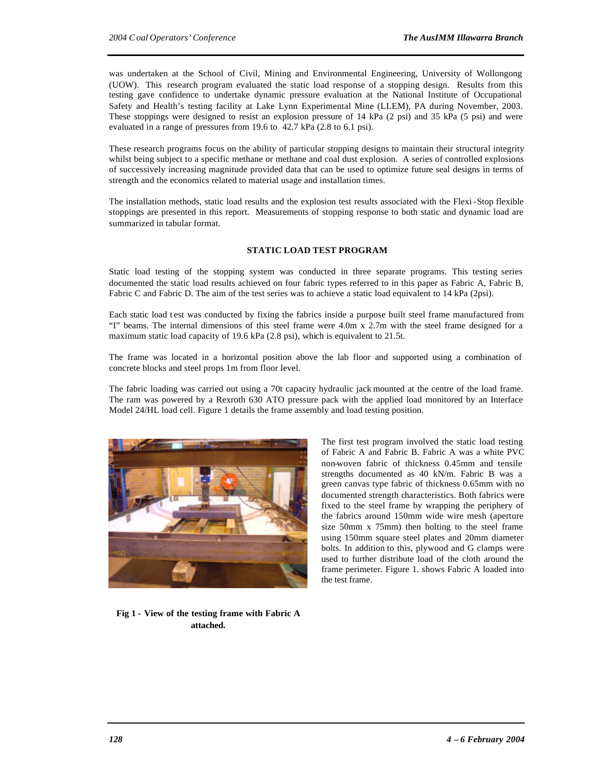was undertaken at the School of Civil, Mining and Environmental Engineering, University of Wollongong (UOW). This research program evaluated the static load response of a stopping design. Results from this testing gave confidence to undertake dynamic pressure evaluation at the National Institute of Occupational Safety and Health's testing facility at Lake Lynn Experimental Mine (LLEM), PA during November, 2003. These stoppings were designed to resist an explosion pressure of 14 kPa (2 psi) and 35 kPa (5 psi) and were evaluated in a range of pressures from 19.6 to 42.7 kPa (2.8 to 6.1 psi).

These research programs focus on the ability of particular stopping designs to maintain their structural integrity whilst being subject to a specific methane or methane and coal dust explosion. A series of controlled explosions of successively increasing magnitude provided data that can be used to optimize future seal designs in terms of strength and the economics related to material usage and installation times.

The installation methods, static load results and the explosion test results associated with the Flexi-Stop flexible stoppings are presented in this report. Measurements of stopping response to both static and dynamic load are summarized in tabular format.

## **STATIC LOAD TEST PROGRAM**

Static load testing of the stopping system was conducted in three separate programs. This testing series documented the static load results achieved on four fabric types referred to in this paper as Fabric A, Fabric B, Fabric C and Fabric D. The aim of the test series was to achieve a static load equivalent to 14 kPa (2psi).

Each static load t est was conducted by fixing the fabrics inside a purpose built steel frame manufactured from "I" beams. The internal dimensions of this steel frame were 4.0m x 2.7m with the steel frame designed for a maximum static load capacity of 19.6 kPa (2.8 psi), which is equivalent to 21.5t.

The frame was located in a horizontal position above the lab floor and supported using a combination of concrete blocks and steel props 1m from floor level.

The fabric loading was carried out using a 70t capacity hydraulic jack mounted at the centre of the load frame. The ram was powered by a Rexroth 630 ATO pressure pack with the applied load monitored by an Interface Model 24/HL load cell. Figure 1 details the frame assembly and load testing position.



**Fig 1 - View of the testing frame with Fabric A attached.**

The first test program involved the static load testing of Fabric A and Fabric B. Fabric A was a white PVC non-woven fabric of thickness 0.45mm and tensile strengths documented as 40 kN/m. Fabric B was a green canvas type fabric of thickness 0.65mm with no documented strength characteristics. Both fabrics were fixed to the steel frame by wrapping the periphery of the fabrics around 150mm wide wire mesh (aperture size 50mm x 75mm) then bolting to the steel frame using 150mm square steel plates and 20mm diameter bolts. In addition to this, plywood and G clamps were used to further distribute load of the cloth around the frame perimeter. Figure 1. shows Fabric A loaded into the test frame.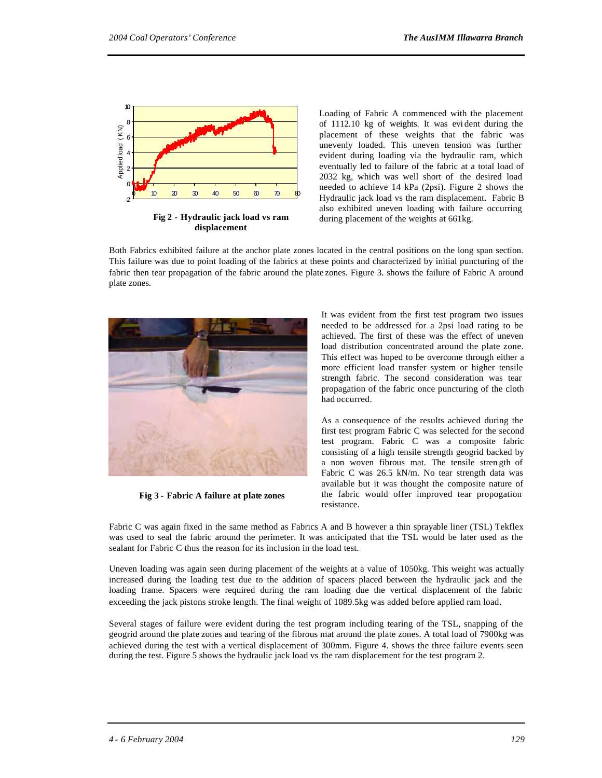

Hydraulic Jack Ram Displacement (mm) **Fig 2 - Hydraulic jack load vs ram displacement**

Loading of Fabric A commenced with the placement of 1112.10 kg of weights. It was evi dent during the placement of these weights that the fabric was unevenly loaded. This uneven tension was further evident during loading via the hydraulic ram, which eventually led to failure of the fabric at a total load of 2032 kg, which was well short of the desired load needed to achieve 14 kPa (2psi). Figure 2 shows the Hydraulic jack load vs the ram displacement. Fabric B also exhibited uneven loading with failure occurring during placement of the weights at 661kg.

Both Fabrics exhibited failure at the anchor plate zones located in the central positions on the long span section. This failure was due to point loading of the fabrics at these points and characterized by initial puncturing of the fabric then tear propagation of the fabric around the plate zones. Figure 3. shows the failure of Fabric A around plate zones.



**Fig 3 - Fabric A failure at plate zones**

It was evident from the first test program two issues needed to be addressed for a 2psi load rating to be achieved. The first of these was the effect of uneven load distribution concentrated around the plate zone. This effect was hoped to be overcome through either a more efficient load transfer system or higher tensile strength fabric. The second consideration was tear propagation of the fabric once puncturing of the cloth had occurred.

As a consequence of the results achieved during the first test program Fabric C was selected for the second test program. Fabric C was a composite fabric consisting of a high tensile strength geogrid backed by a non woven fibrous mat. The tensile stren gth of Fabric C was 26.5 kN/m. No tear strength data was available but it was thought the composite nature of the fabric would offer improved tear propogation resistance.

Fabric C was again fixed in the same method as Fabrics A and B however a thin sprayable liner (TSL) Tekflex was used to seal the fabric around the perimeter. It was anticipated that the TSL would be later used as the sealant for Fabric C thus the reason for its inclusion in the load test.

Uneven loading was again seen during placement of the weights at a value of 1050kg. This weight was actually increased during the loading test due to the addition of spacers placed between the hydraulic jack and the loading frame. Spacers were required during the ram loading due the vertical displacement of the fabric exceeding the jack pistons stroke length. The final weight of 1089.5kg was added before applied ram load.

Several stages of failure were evident during the test program including tearing of the TSL, snapping of the geogrid around the plate zones and tearing of the fibrous mat around the plate zones. A total load of 7900kg was achieved during the test with a vertical displacement of 300mm. Figure 4. shows the three failure events seen during the test. Figure 5 shows the hydraulic jack load vs the ram displacement for the test program 2.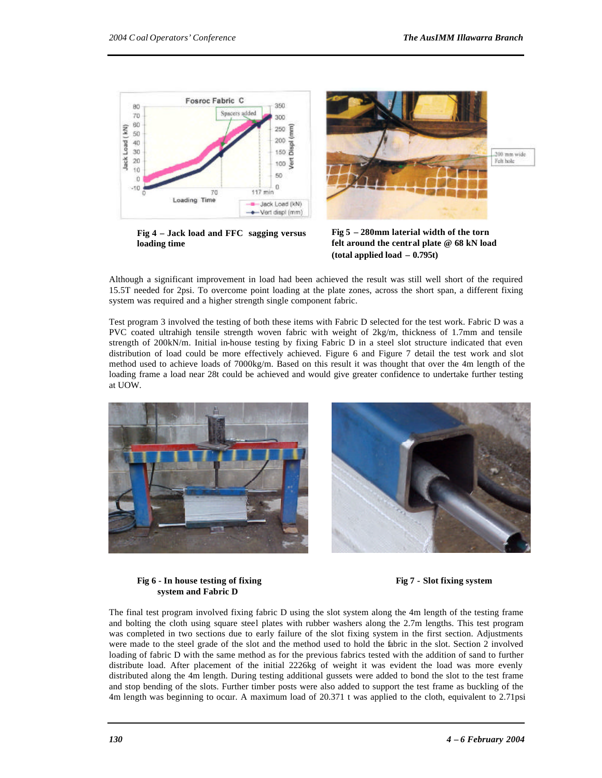

**Fig 4 – Jack load and FFC sagging versus loading time**



**Fig 5 – 280mm laterial width of the torn felt around the central plate @ 68 kN load (total applied load – 0.795t)**

Although a significant improvement in load had been achieved the result was still well short of the required 15.5T needed for 2psi. To overcome point loading at the plate zones, across the short span, a different fixing system was required and a higher strength single component fabric.

Test program 3 involved the testing of both these items with Fabric D selected for the test work. Fabric D was a PVC coated ultrahigh tensile strength woven fabric with weight of 2kg/m, thickness of 1.7mm and tensile strength of 200kN/m. Initial in-house testing by fixing Fabric D in a steel slot structure indicated that even distribution of load could be more effectively achieved. Figure 6 and Figure 7 detail the test work and slot method used to achieve loads of 7000kg/m. Based on this result it was thought that over the 4m length of the loading frame a load near 28t could be achieved and would give greater confidence to undertake further testing at UOW.





## **Fig 6 - In house testing of fixing Fig 7 - Slot fixing system system and Fabric D**

The final test program involved fixing fabric D using the slot system along the 4m length of the testing frame and bolting the cloth using square steel plates with rubber washers along the 2.7m lengths. This test program was completed in two sections due to early failure of the slot fixing system in the first section. Adjustments were made to the steel grade of the slot and the method used to hold the fabric in the slot. Section 2 involved loading of fabric D with the same method as for the previous fabrics tested with the addition of sand to further distribute load. After placement of the initial 2226kg of weight it was evident the load was more evenly distributed along the 4m length. During testing additional gussets were added to bond the slot to the test frame and stop bending of the slots. Further timber posts were also added to support the test frame as buckling of the 4m length was beginning to occur. A maximum load of 20.371 t was applied to the cloth, equivalent to 2.71psi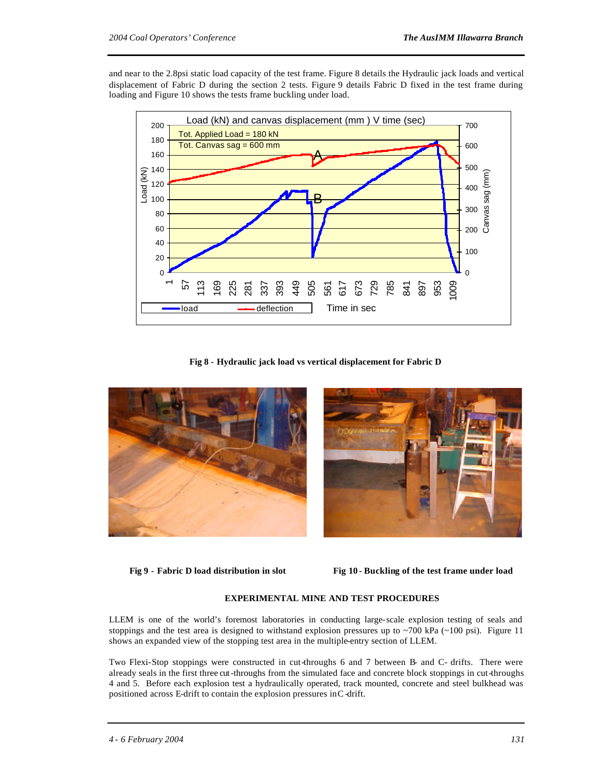and near to the 2.8psi static load capacity of the test frame. Figure 8 details the Hydraulic jack loads and vertical displacement of Fabric D during the section 2 tests. Figure 9 details Fabric D fixed in the test frame during loading and Figure 10 shows the tests frame buckling under load.



**Fig 8 - Hydraulic jack load vs vertical displacement for Fabric D**



 **Fig 9 - Fabric D load distribution in slot Fig 10 - Buckling of the test frame under load**

## **EXPERIMENTAL MINE AND TEST PROCEDURES**

LLEM is one of the world's foremost laboratories in conducting large-scale explosion testing of seals and stoppings and the test area is designed to withstand explosion pressures up to  $\sim$ 700 kPa ( $\sim$ 100 psi). Figure 11 shows an expanded view of the stopping test area in the multiple-entry section of LLEM.

Two Flexi-Stop stoppings were constructed in cut-throughs 6 and 7 between B- and C- drifts. There were already seals in the first three cut-throughs from the simulated face and concrete block stoppings in cut-throughs 4 and 5. Before each explosion test a hydraulically operated, track mounted, concrete and steel bulkhead was positioned across E-drift to contain the explosion pressures in C-drift.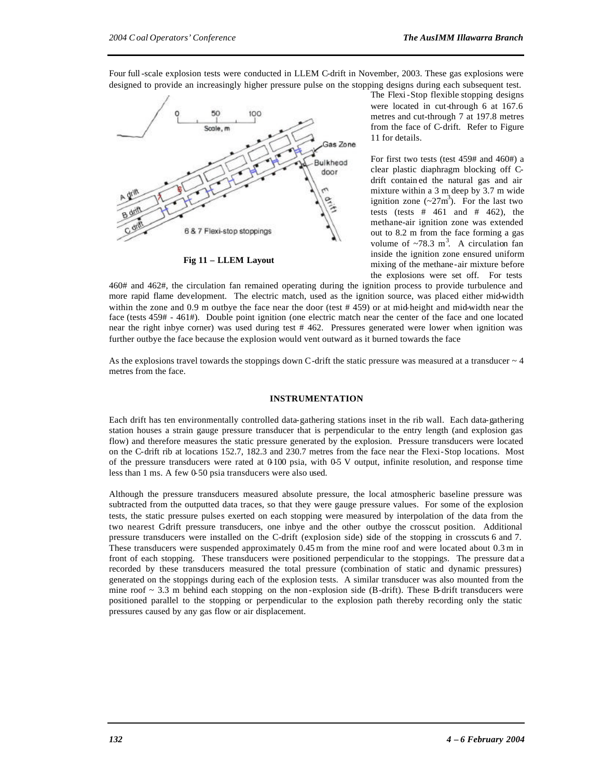Four full-scale explosion tests were conducted in LLEM C-drift in November, 2003. These gas explosions were designed to provide an increasingly higher pressure pulse on the stopping designs during each subsequent test.



**Fig 11 – LLEM Layout**

The Flexi-Stop flexible stopping designs were located in cut-through 6 at 167.6 metres and cut-through 7 at 197.8 metres from the face of C-drift. Refer to Figure 11 for details.

For first two tests (test 459# and 460#) a clear plastic diaphragm blocking off Cdrift contain ed the natural gas and air mixture within a 3 m deep by 3.7 m wide ignition zone  $({\sim}27\text{m}^3)$ . For the last two tests (tests  $# 461$  and  $# 462$ ), the methane-air ignition zone was extended out to 8.2 m from the face forming a gas volume of  $\sim$ 78.3 m<sup>3</sup>. A circulation fan inside the ignition zone ensured uniform mixing of the methane-air mixture before the explosions were set off. For tests

460# and 462#, the circulation fan remained operating during the ignition process to provide turbulence and more rapid flame development. The electric match, used as the ignition source, was placed either mid-width within the zone and 0.9 m outbye the face near the door (test # 459) or at mid-height and mid-width near the face (tests 459# - 461#). Double point ignition (one electric match near the center of the face and one located near the right inbye corner) was used during test # 462. Pressures generated were lower when ignition was further outbye the face because the explosion would vent outward as it burned towards the face

As the explosions travel towards the stoppings down C-drift the static pressure was measured at a transducer  $\sim$  4 metres from the face.

## **INSTRUMENTATION**

Each drift has ten environmentally controlled data-gathering stations inset in the rib wall. Each data-gathering station houses a strain gauge pressure transducer that is perpendicular to the entry length (and explosion gas flow) and therefore measures the static pressure generated by the explosion. Pressure transducers were located on the C-drift rib at locations 152.7, 182.3 and 230.7 metres from the face near the Flexi-Stop locations. Most of the pressure transducers were rated at  $0.100$  psia, with  $0.5$  V output, infinite resolution, and response time less than 1 ms. A few 0-50 psia transducers were also used.

Although the pressure transducers measured absolute pressure, the local atmospheric baseline pressure was subtracted from the outputted data traces, so that they were gauge pressure values. For some of the explosion tests, the static pressure pulses exerted on each stopping were measured by interpolation of the data from the two nearest C-drift pressure transducers, one inbye and the other outbye the crosscut position. Additional pressure transducers were installed on the C-drift (explosion side) side of the stopping in crosscuts 6 and 7. These transducers were suspended approximately 0.45 m from the mine roof and were located about 0.3 m in front of each stopping. These transducers were positioned perpendicular to the stoppings. The pressure dat a recorded by these transducers measured the total pressure (combination of static and dynamic pressures) generated on the stoppings during each of the explosion tests. A similar transducer was also mounted from the mine roof  $\sim$  3.3 m behind each stopping on the non-explosion side (B-drift). These B-drift transducers were positioned parallel to the stopping or perpendicular to the explosion path thereby recording only the static pressures caused by any gas flow or air displacement.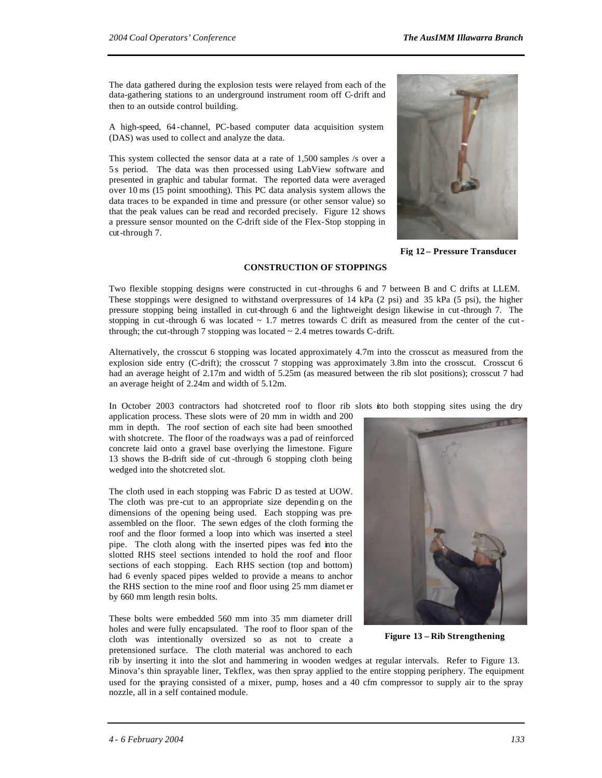The data gathered during the explosion tests were relayed from each of the data-gathering stations to an underground instrument room off C-drift and then to an outside control building.

A high-speed, 64 -channel, PC-based computer data acquisition system (DAS) was used to collect and analyze the data.

This system collected the sensor data at a rate of 1,500 samples /s over a 5 s period. The data was then processed using LabView software and presented in graphic and tabular format. The reported data were averaged over 10 ms (15 point smoothing). This PC data analysis system allows the data traces to be expanded in time and pressure (or other sensor value) so that the peak values can be read and recorded precisely. Figure 12 shows a pressure sensor mounted on the C-drift side of the Flex-Stop stopping in cut-through 7.



**Fig 12 – Pressure Transducer**

## **CONSTRUCTION OF STOPPINGS**

Two flexible stopping designs were constructed in cut -throughs 6 and 7 between B and C drifts at LLEM. These stoppings were designed to withstand overpressures of 14 kPa (2 psi) and 35 kPa (5 psi), the higher pressure stopping being installed in cut-through 6 and the lightweight design likewise in cut-through 7. The stopping in cut-through 6 was located  $\sim$  1.7 metres towards C drift as measured from the center of the cutthrough; the cut-through 7 stopping was located  $\sim 2.4$  metres towards C-drift.

Alternatively, the crosscut 6 stopping was located approximately 4.7m into the crosscut as measured from the explosion side entry (C-drift); the crosscut 7 stopping was approximately 3.8m into the crosscut. Crosscut 6 had an average height of 2.17m and width of 5.25m (as measured between the rib slot positions); crosscut 7 had an average height of 2.24m and width of 5.12m.

In October 2003 contractors had shotcreted roof to floor rib slots into both stopping sites using the dry

application process. These slots were of 20 mm in width and 200 mm in depth. The roof section of each site had been smoothed with shotcrete. The floor of the roadways was a pad of reinforced concrete laid onto a gravel base overlying the limestone. Figure 13 shows the B-drift side of cut -through 6 stopping cloth being wedged into the shotcreted slot.

The cloth used in each stopping was Fabric D as tested at UOW. The cloth was pre-cut to an appropriate size dependin g on the dimensions of the opening being used. Each stopping was preassembled on the floor. The sewn edges of the cloth forming the roof and the floor formed a loop into which was inserted a steel pipe. The cloth along with the inserted pipes was fed into the slotted RHS steel sections intended to hold the roof and floor sections of each stopping. Each RHS section (top and bottom) had 6 evenly spaced pipes welded to provide a means to anchor the RHS section to the mine roof and floor using 25 mm diamet er by 660 mm length resin bolts.

These bolts were embedded 560 mm into 35 mm diameter drill holes and were fully encapsulated. The roof to floor span of the cloth was intentionally oversized so as not to create a pretensioned surface. The cloth material was anchored to each



**Figure 13 – Rib Strengthening**

rib by inserting it into the slot and hammering in wooden wedges at regular intervals. Refer to Figure 13. Minova's thin sprayable liner, Tekflex, was then spray applied to the entire stopping periphery. The equipment used for the spraying consisted of a mixer, pump, hoses and a 40 cfm compressor to supply air to the spray nozzle, all in a self contained module.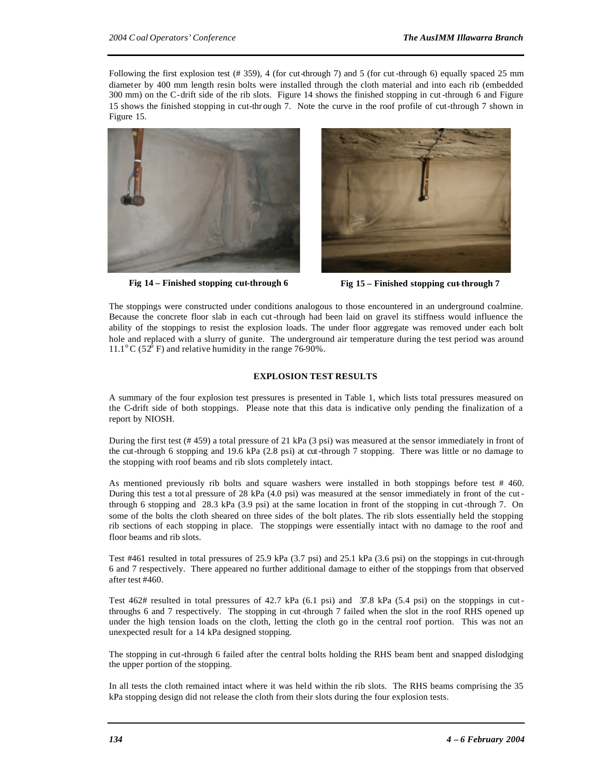Following the first explosion test (#359), 4 (for cut-through 7) and 5 (for cut-through 6) equally spaced 25 mm diameter by 400 mm length resin bolts were installed through the cloth material and into each rib (embedded 300 mm) on the C-drift side of the rib slots. Figure 14 shows the finished stopping in cut-through 6 and Figure 15 shows the finished stopping in cut-thr ough 7. Note the curve in the roof profile of cut-through 7 shown in Figure 15.





**Fig 14 – Finished stopping cut-through 6 Fig 15 – Finished stopping cut-through 7**

The stoppings were constructed under conditions analogous to those encountered in an underground coalmine. Because the concrete floor slab in each cut-through had been laid on gravel its stiffness would influence the ability of the stoppings to resist the explosion loads. The under floor aggregate was removed under each bolt hole and replaced with a slurry of gunite. The underground air temperature during the test period was around  $11.1^{\circ}$ C (52<sup> $\dot{\circ}$ </sup> F) and relative humidity in the range 76-90%.

## **EXPLOSION TEST RESULTS**

A summary of the four explosion test pressures is presented in Table 1, which lists total pressures measured on the C-drift side of both stoppings. Please note that this data is indicative only pending the finalization of a report by NIOSH.

During the first test (# 459) a total pressure of 21 kPa (3 psi) was measured at the sensor immediately in front of the cut-through 6 stopping and 19.6 kPa (2.8 psi) at cut-through 7 stopping. There was little or no damage to the stopping with roof beams and rib slots completely intact.

As mentioned previously rib bolts and square washers were installed in both stoppings before test # 460. During this test a tot al pressure of 28 kPa (4.0 psi) was measured at the sensor immediately in front of the cutthrough 6 stopping and 28.3 kPa (3.9 psi) at the same location in front of the stopping in cut -through 7. On some of the bolts the cloth sheared on three sides of the bolt plates. The rib slots essentially held the stopping rib sections of each stopping in place. The stoppings were essentially intact with no damage to the roof and floor beams and rib slots.

Test #461 resulted in total pressures of 25.9 kPa (3.7 psi) and 25.1 kPa (3.6 psi) on the stoppings in cut-through 6 and 7 respectively. There appeared no further additional damage to either of the stoppings from that observed after test #460.

Test 462# resulted in total pressures of 42.7 kPa (6.1 psi) and 37.8 kPa (5.4 psi) on the stoppings in cut throughs 6 and 7 respectively. The stopping in cut-through 7 failed when the slot in the roof RHS opened up under the high tension loads on the cloth, letting the cloth go in the central roof portion. This was not an unexpected result for a 14 kPa designed stopping.

The stopping in cut-through 6 failed after the central bolts holding the RHS beam bent and snapped dislodging the upper portion of the stopping.

In all tests the cloth remained intact where it was held within the rib slots. The RHS beams comprising the 35 kPa stopping design did not release the cloth from their slots during the four explosion tests.